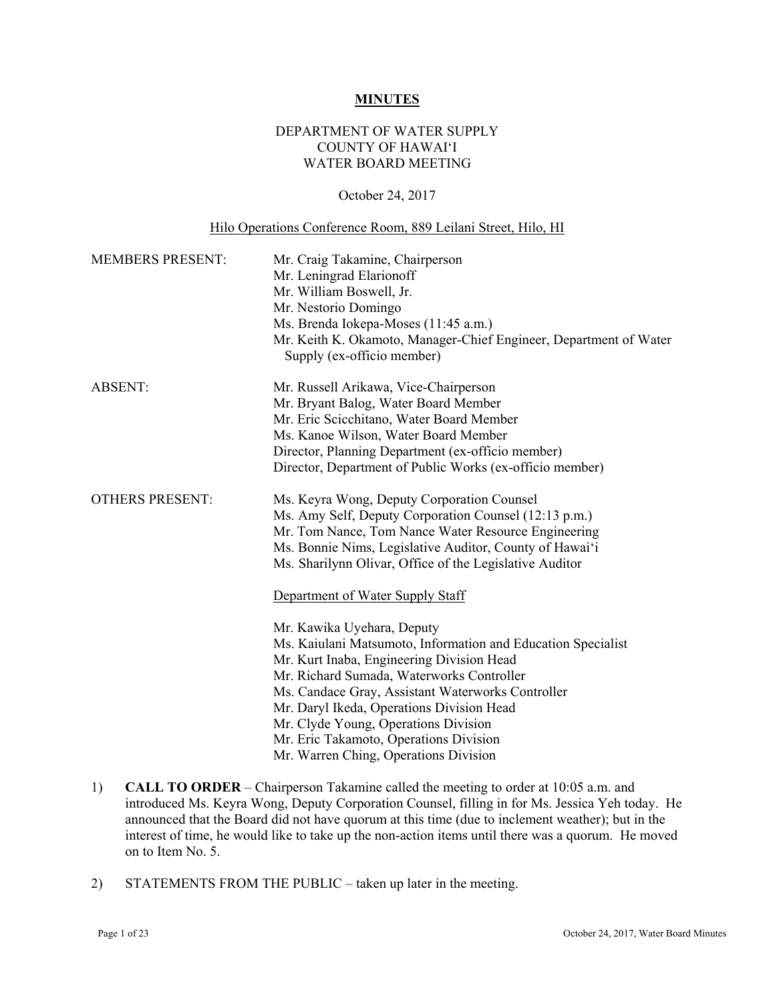#### **MINUTES**

## DEPARTMENT OF WATER SUPPLY COUNTY OF HAWAI'I WATER BOARD MEETING

### October 24, 2017

#### Hilo Operations Conference Room, 889 Leilani Street, Hilo, HI

| <b>MEMBERS PRESENT:</b> | Mr. Craig Takamine, Chairperson<br>Mr. Leningrad Elarionoff<br>Mr. William Boswell, Jr.<br>Mr. Nestorio Domingo<br>Ms. Brenda Iokepa-Moses (11:45 a.m.)<br>Mr. Keith K. Okamoto, Manager-Chief Engineer, Department of Water<br>Supply (ex-officio member)                                                                                                                                                                                                                                                                                                                                                     |
|-------------------------|----------------------------------------------------------------------------------------------------------------------------------------------------------------------------------------------------------------------------------------------------------------------------------------------------------------------------------------------------------------------------------------------------------------------------------------------------------------------------------------------------------------------------------------------------------------------------------------------------------------|
| <b>ABSENT:</b>          | Mr. Russell Arikawa, Vice-Chairperson<br>Mr. Bryant Balog, Water Board Member<br>Mr. Eric Scicchitano, Water Board Member<br>Ms. Kanoe Wilson, Water Board Member<br>Director, Planning Department (ex-officio member)<br>Director, Department of Public Works (ex-officio member)                                                                                                                                                                                                                                                                                                                             |
| <b>OTHERS PRESENT:</b>  | Ms. Keyra Wong, Deputy Corporation Counsel<br>Ms. Amy Self, Deputy Corporation Counsel (12:13 p.m.)<br>Mr. Tom Nance, Tom Nance Water Resource Engineering<br>Ms. Bonnie Nims, Legislative Auditor, County of Hawai'i<br>Ms. Sharilynn Olivar, Office of the Legislative Auditor<br>Department of Water Supply Staff<br>Mr. Kawika Uyehara, Deputy<br>Ms. Kaiulani Matsumoto, Information and Education Specialist<br>Mr. Kurt Inaba, Engineering Division Head<br>Mr. Richard Sumada, Waterworks Controller<br>Ms. Candace Gray, Assistant Waterworks Controller<br>Mr. Daryl Ikeda, Operations Division Head |
|                         | Mr. Clyde Young, Operations Division<br>Mr. Eric Takamoto, Operations Division<br>Mr. Warren Ching, Operations Division                                                                                                                                                                                                                                                                                                                                                                                                                                                                                        |

- 1) **CALL TO ORDER** Chairperson Takamine called the meeting to order at 10:05 a.m. and introduced Ms. Keyra Wong, Deputy Corporation Counsel, filling in for Ms. Jessica Yeh today. He announced that the Board did not have quorum at this time (due to inclement weather); but in the interest of time, he would like to take up the non-action items until there was a quorum. He moved on to Item No. 5.
- 2) STATEMENTS FROM THE PUBLIC taken up later in the meeting.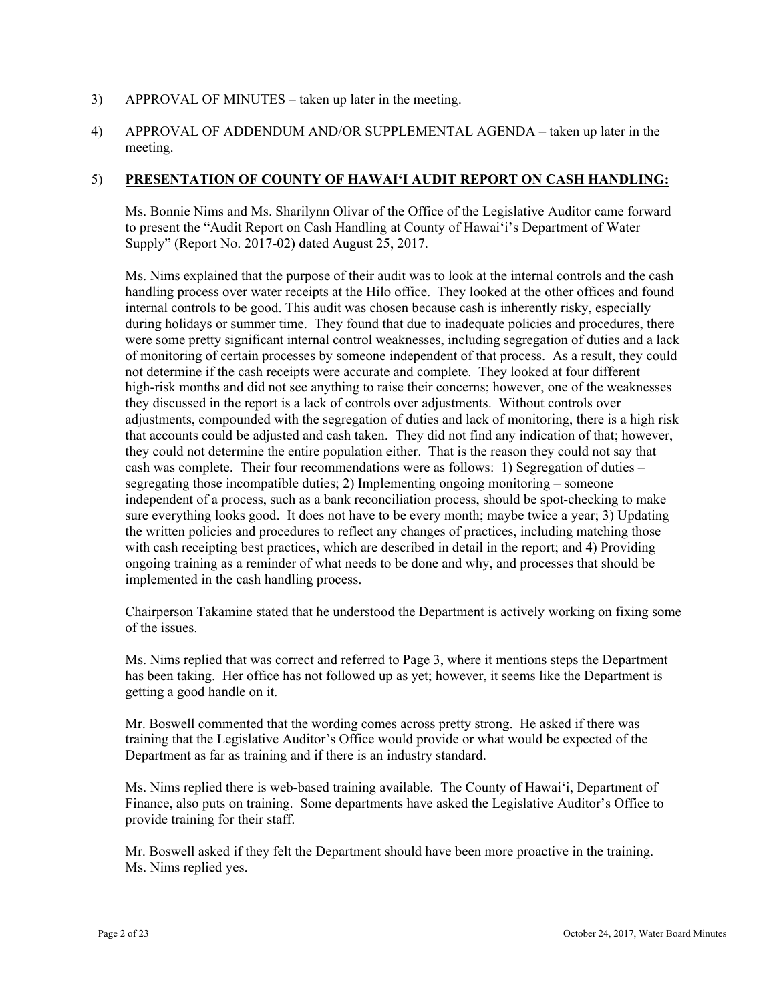### 3) APPROVAL OF MINUTES – taken up later in the meeting.

4) APPROVAL OF ADDENDUM AND/OR SUPPLEMENTAL AGENDA – taken up later in the meeting.

### 5) **PRESENTATION OF COUNTY OF HAWAI'I AUDIT REPORT ON CASH HANDLING:**

Ms. Bonnie Nims and Ms. Sharilynn Olivar of the Office of the Legislative Auditor came forward to present the "Audit Report on Cash Handling at County of Hawai'i's Department of Water Supply" (Report No. 2017-02) dated August 25, 2017.

Ms. Nims explained that the purpose of their audit was to look at the internal controls and the cash handling process over water receipts at the Hilo office. They looked at the other offices and found internal controls to be good. This audit was chosen because cash is inherently risky, especially during holidays or summer time. They found that due to inadequate policies and procedures, there were some pretty significant internal control weaknesses, including segregation of duties and a lack of monitoring of certain processes by someone independent of that process. As a result, they could not determine if the cash receipts were accurate and complete. They looked at four different high-risk months and did not see anything to raise their concerns; however, one of the weaknesses they discussed in the report is a lack of controls over adjustments. Without controls over adjustments, compounded with the segregation of duties and lack of monitoring, there is a high risk that accounts could be adjusted and cash taken. They did not find any indication of that; however, they could not determine the entire population either. That is the reason they could not say that cash was complete. Their four recommendations were as follows: 1) Segregation of duties – segregating those incompatible duties; 2) Implementing ongoing monitoring – someone independent of a process, such as a bank reconciliation process, should be spot-checking to make sure everything looks good. It does not have to be every month; maybe twice a year; 3) Updating the written policies and procedures to reflect any changes of practices, including matching those with cash receipting best practices, which are described in detail in the report; and 4) Providing ongoing training as a reminder of what needs to be done and why, and processes that should be implemented in the cash handling process.

Chairperson Takamine stated that he understood the Department is actively working on fixing some of the issues.

Ms. Nims replied that was correct and referred to Page 3, where it mentions steps the Department has been taking. Her office has not followed up as yet; however, it seems like the Department is getting a good handle on it.

Mr. Boswell commented that the wording comes across pretty strong. He asked if there was training that the Legislative Auditor's Office would provide or what would be expected of the Department as far as training and if there is an industry standard.

Ms. Nims replied there is web-based training available. The County of Hawai'i, Department of Finance, also puts on training. Some departments have asked the Legislative Auditor's Office to provide training for their staff.

Mr. Boswell asked if they felt the Department should have been more proactive in the training. Ms. Nims replied yes.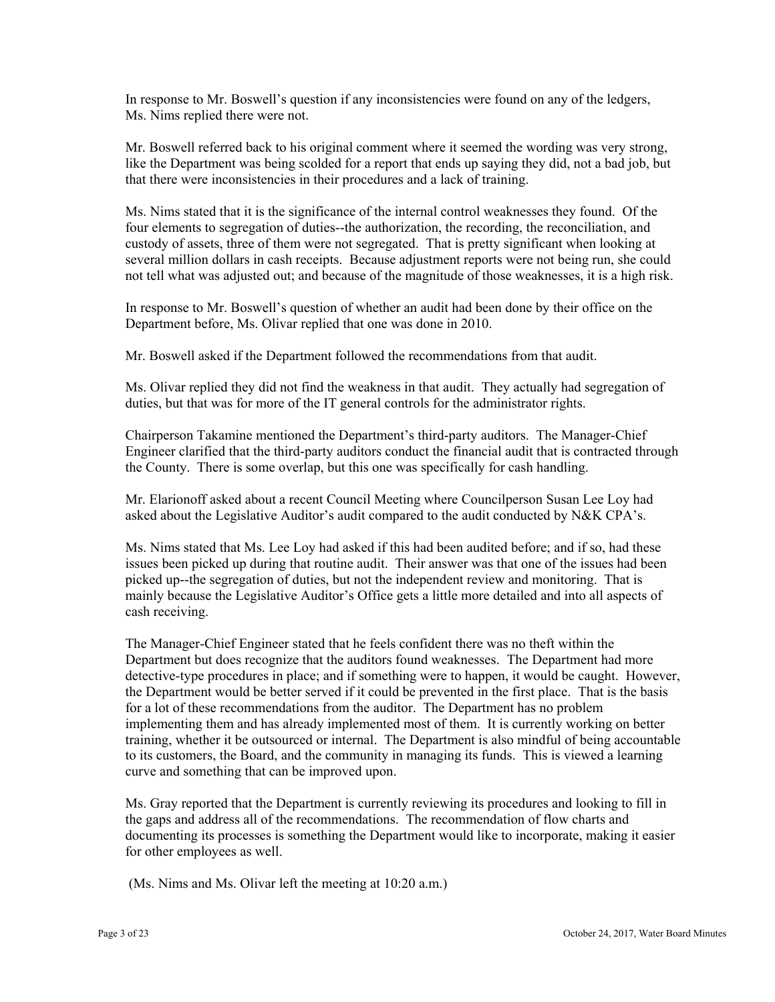In response to Mr. Boswell's question if any inconsistencies were found on any of the ledgers, Ms. Nims replied there were not.

Mr. Boswell referred back to his original comment where it seemed the wording was very strong, like the Department was being scolded for a report that ends up saying they did, not a bad job, but that there were inconsistencies in their procedures and a lack of training.

Ms. Nims stated that it is the significance of the internal control weaknesses they found. Of the four elements to segregation of duties--the authorization, the recording, the reconciliation, and custody of assets, three of them were not segregated. That is pretty significant when looking at several million dollars in cash receipts. Because adjustment reports were not being run, she could not tell what was adjusted out; and because of the magnitude of those weaknesses, it is a high risk.

In response to Mr. Boswell's question of whether an audit had been done by their office on the Department before, Ms. Olivar replied that one was done in 2010.

Mr. Boswell asked if the Department followed the recommendations from that audit.

Ms. Olivar replied they did not find the weakness in that audit. They actually had segregation of duties, but that was for more of the IT general controls for the administrator rights.

Chairperson Takamine mentioned the Department's third-party auditors. The Manager-Chief Engineer clarified that the third-party auditors conduct the financial audit that is contracted through the County. There is some overlap, but this one was specifically for cash handling.

Mr. Elarionoff asked about a recent Council Meeting where Councilperson Susan Lee Loy had asked about the Legislative Auditor's audit compared to the audit conducted by N&K CPA's.

Ms. Nims stated that Ms. Lee Loy had asked if this had been audited before; and if so, had these issues been picked up during that routine audit. Their answer was that one of the issues had been picked up--the segregation of duties, but not the independent review and monitoring. That is mainly because the Legislative Auditor's Office gets a little more detailed and into all aspects of cash receiving.

The Manager-Chief Engineer stated that he feels confident there was no theft within the Department but does recognize that the auditors found weaknesses. The Department had more detective-type procedures in place; and if something were to happen, it would be caught. However, the Department would be better served if it could be prevented in the first place. That is the basis for a lot of these recommendations from the auditor. The Department has no problem implementing them and has already implemented most of them. It is currently working on better training, whether it be outsourced or internal. The Department is also mindful of being accountable to its customers, the Board, and the community in managing its funds. This is viewed a learning curve and something that can be improved upon.

Ms. Gray reported that the Department is currently reviewing its procedures and looking to fill in the gaps and address all of the recommendations. The recommendation of flow charts and documenting its processes is something the Department would like to incorporate, making it easier for other employees as well.

(Ms. Nims and Ms. Olivar left the meeting at 10:20 a.m.)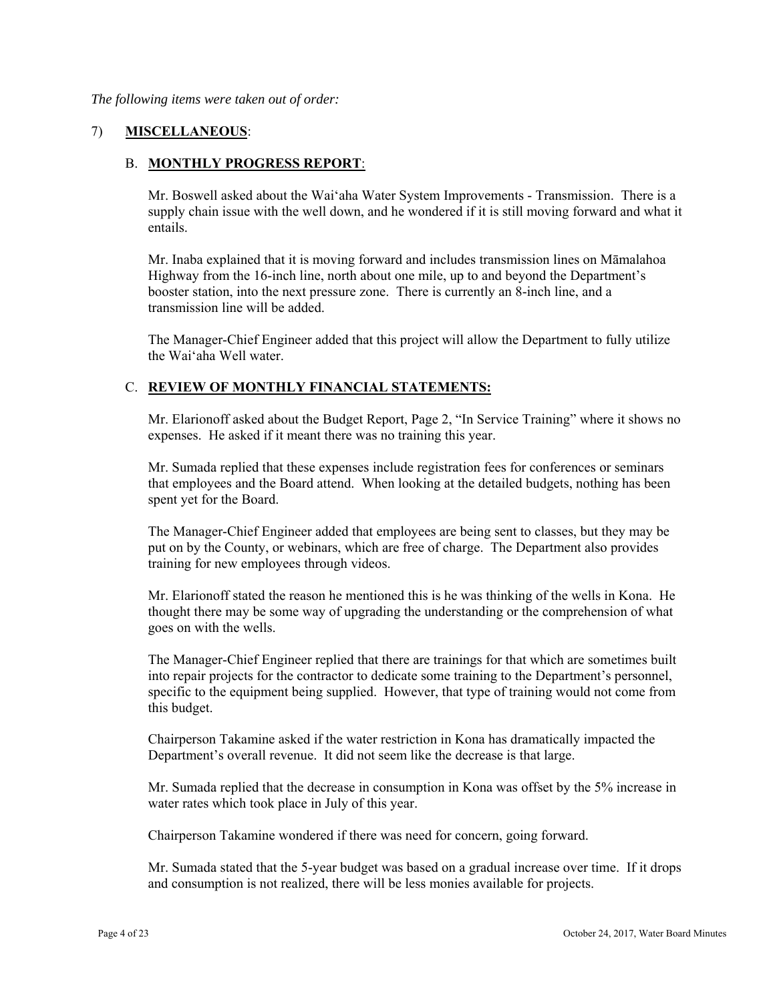*The following items were taken out of order:* 

## 7) **MISCELLANEOUS**:

### B. **MONTHLY PROGRESS REPORT**:

Mr. Boswell asked about the Wai'aha Water System Improvements - Transmission. There is a supply chain issue with the well down, and he wondered if it is still moving forward and what it entails.

Mr. Inaba explained that it is moving forward and includes transmission lines on Māmalahoa Highway from the 16-inch line, north about one mile, up to and beyond the Department's booster station, into the next pressure zone. There is currently an 8-inch line, and a transmission line will be added.

The Manager-Chief Engineer added that this project will allow the Department to fully utilize the Wai'aha Well water.

### C. **REVIEW OF MONTHLY FINANCIAL STATEMENTS:**

Mr. Elarionoff asked about the Budget Report, Page 2, "In Service Training" where it shows no expenses. He asked if it meant there was no training this year.

Mr. Sumada replied that these expenses include registration fees for conferences or seminars that employees and the Board attend. When looking at the detailed budgets, nothing has been spent yet for the Board.

The Manager-Chief Engineer added that employees are being sent to classes, but they may be put on by the County, or webinars, which are free of charge. The Department also provides training for new employees through videos.

Mr. Elarionoff stated the reason he mentioned this is he was thinking of the wells in Kona. He thought there may be some way of upgrading the understanding or the comprehension of what goes on with the wells.

The Manager-Chief Engineer replied that there are trainings for that which are sometimes built into repair projects for the contractor to dedicate some training to the Department's personnel, specific to the equipment being supplied. However, that type of training would not come from this budget.

Chairperson Takamine asked if the water restriction in Kona has dramatically impacted the Department's overall revenue. It did not seem like the decrease is that large.

Mr. Sumada replied that the decrease in consumption in Kona was offset by the 5% increase in water rates which took place in July of this year.

Chairperson Takamine wondered if there was need for concern, going forward.

Mr. Sumada stated that the 5-year budget was based on a gradual increase over time. If it drops and consumption is not realized, there will be less monies available for projects.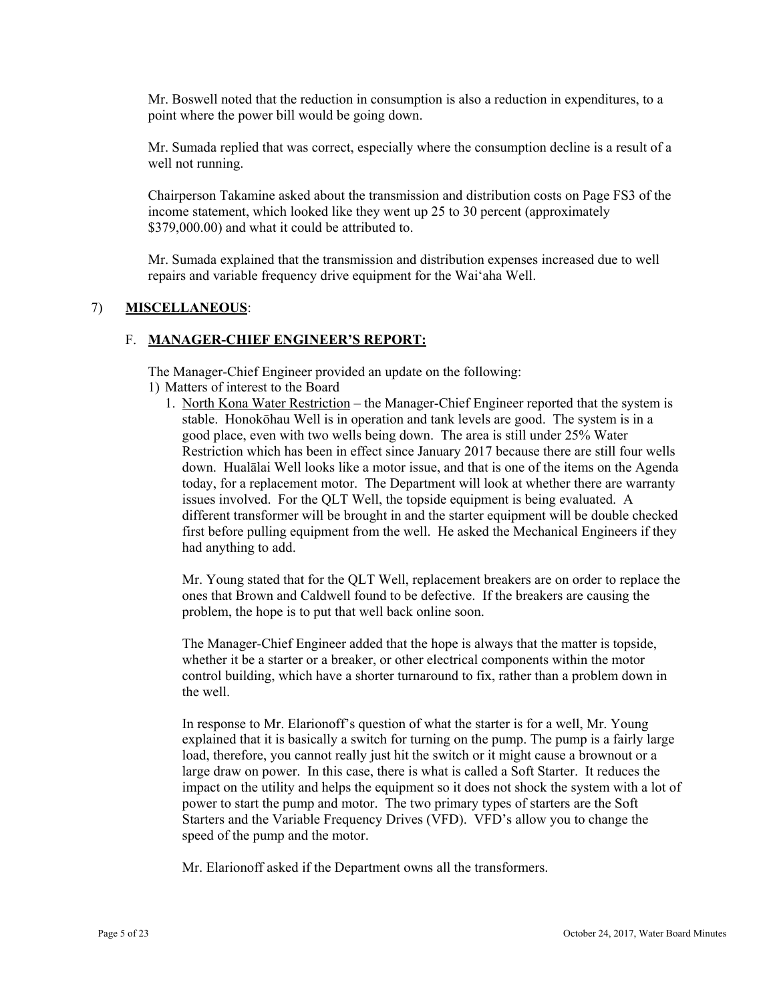Mr. Boswell noted that the reduction in consumption is also a reduction in expenditures, to a point where the power bill would be going down.

Mr. Sumada replied that was correct, especially where the consumption decline is a result of a well not running.

Chairperson Takamine asked about the transmission and distribution costs on Page FS3 of the income statement, which looked like they went up 25 to 30 percent (approximately \$379,000.00) and what it could be attributed to.

Mr. Sumada explained that the transmission and distribution expenses increased due to well repairs and variable frequency drive equipment for the Wai'aha Well.

#### 7) **MISCELLANEOUS**:

#### F. **MANAGER-CHIEF ENGINEER'S REPORT:**

The Manager-Chief Engineer provided an update on the following:

- 1) Matters of interest to the Board
	- 1. North Kona Water Restriction the Manager-Chief Engineer reported that the system is stable. Honokōhau Well is in operation and tank levels are good. The system is in a good place, even with two wells being down. The area is still under 25% Water Restriction which has been in effect since January 2017 because there are still four wells down. Hualālai Well looks like a motor issue, and that is one of the items on the Agenda today, for a replacement motor. The Department will look at whether there are warranty issues involved. For the QLT Well, the topside equipment is being evaluated. A different transformer will be brought in and the starter equipment will be double checked first before pulling equipment from the well. He asked the Mechanical Engineers if they had anything to add.

Mr. Young stated that for the QLT Well, replacement breakers are on order to replace the ones that Brown and Caldwell found to be defective. If the breakers are causing the problem, the hope is to put that well back online soon.

The Manager-Chief Engineer added that the hope is always that the matter is topside, whether it be a starter or a breaker, or other electrical components within the motor control building, which have a shorter turnaround to fix, rather than a problem down in the well.

In response to Mr. Elarionoff's question of what the starter is for a well, Mr. Young explained that it is basically a switch for turning on the pump. The pump is a fairly large load, therefore, you cannot really just hit the switch or it might cause a brownout or a large draw on power. In this case, there is what is called a Soft Starter. It reduces the impact on the utility and helps the equipment so it does not shock the system with a lot of power to start the pump and motor. The two primary types of starters are the Soft Starters and the Variable Frequency Drives (VFD). VFD's allow you to change the speed of the pump and the motor.

Mr. Elarionoff asked if the Department owns all the transformers.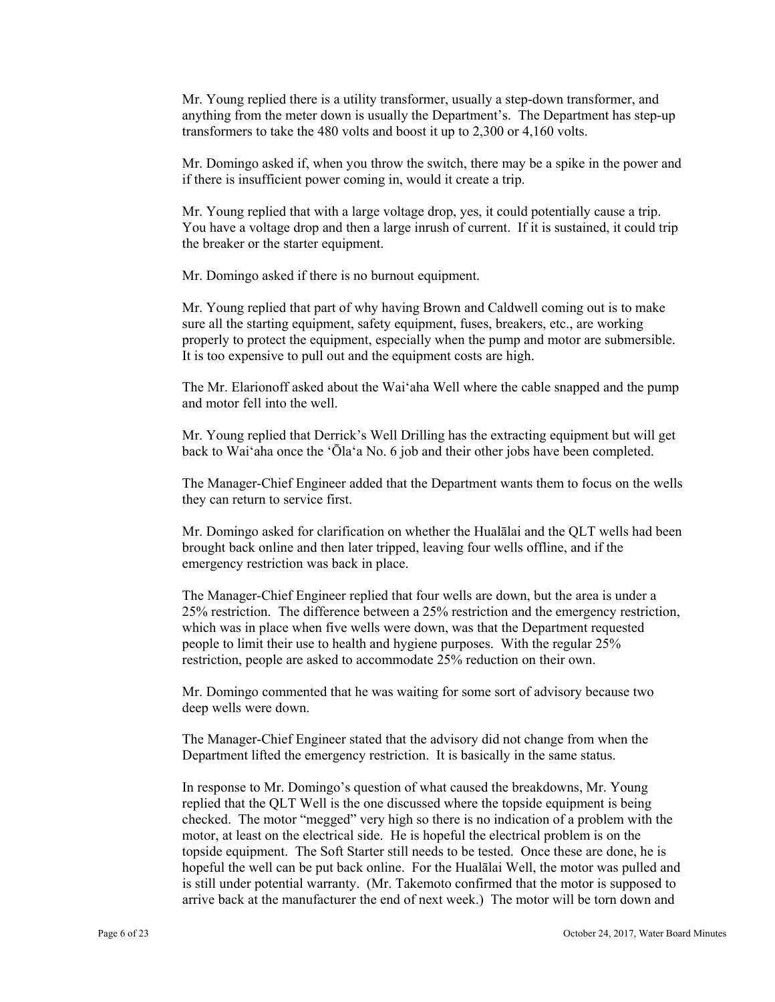Mr. Young replied there is a utility transformer, usually a step-down transformer, and anything from the meter down is usually the Department's. The Department has step-up transformers to take the 480 volts and boost it up to 2,300 or 4,160 volts.

Mr. Domingo asked if, when you throw the switch, there may be a spike in the power and if there is insufficient power coming in, would it create a trip.

Mr. Young replied that with a large voltage drop, yes, it could potentially cause a trip. You have a voltage drop and then a large inrush of current. If it is sustained, it could trip the breaker or the starter equipment.

Mr. Domingo asked if there is no burnout equipment.

Mr. Young replied that part of why having Brown and Caldwell coming out is to make sure all the starting equipment, safety equipment, fuses, breakers, etc., are working properly to protect the equipment, especially when the pump and motor are submersible. It is too expensive to pull out and the equipment costs are high.

The Mr. Elarionoff asked about the Wai'aha Well where the cable snapped and the pump and motor fell into the well.

Mr. Young replied that Derrick's Well Drilling has the extracting equipment but will get back to Wai'aha once the 'Ōla'a No. 6 job and their other jobs have been completed.

The Manager-Chief Engineer added that the Department wants them to focus on the wells they can return to service first.

Mr. Domingo asked for clarification on whether the Hualālai and the QLT wells had been brought back online and then later tripped, leaving four wells offline, and if the emergency restriction was back in place.

The Manager-Chief Engineer replied that four wells are down, but the area is under a 25% restriction. The difference between a 25% restriction and the emergency restriction, which was in place when five wells were down, was that the Department requested people to limit their use to health and hygiene purposes. With the regular 25% restriction, people are asked to accommodate 25% reduction on their own.

Mr. Domingo commented that he was waiting for some sort of advisory because two deep wells were down.

The Manager-Chief Engineer stated that the advisory did not change from when the Department lifted the emergency restriction. It is basically in the same status.

In response to Mr. Domingo's question of what caused the breakdowns, Mr. Young replied that the QLT Well is the one discussed where the topside equipment is being checked. The motor "megged" very high so there is no indication of a problem with the motor, at least on the electrical side. He is hopeful the electrical problem is on the topside equipment. The Soft Starter still needs to be tested. Once these are done, he is hopeful the well can be put back online. For the Hualālai Well, the motor was pulled and is still under potential warranty. (Mr. Takemoto confirmed that the motor is supposed to arrive back at the manufacturer the end of next week.) The motor will be torn down and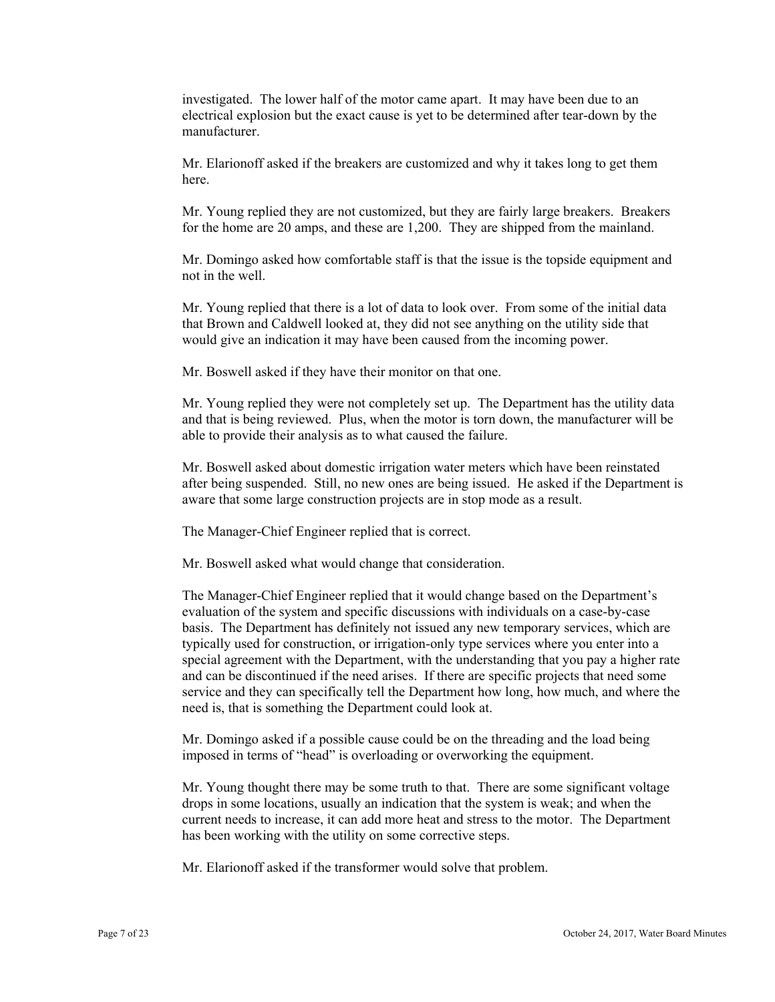investigated. The lower half of the motor came apart. It may have been due to an electrical explosion but the exact cause is yet to be determined after tear-down by the manufacturer.

Mr. Elarionoff asked if the breakers are customized and why it takes long to get them here.

Mr. Young replied they are not customized, but they are fairly large breakers. Breakers for the home are 20 amps, and these are 1,200. They are shipped from the mainland.

Mr. Domingo asked how comfortable staff is that the issue is the topside equipment and not in the well.

Mr. Young replied that there is a lot of data to look over. From some of the initial data that Brown and Caldwell looked at, they did not see anything on the utility side that would give an indication it may have been caused from the incoming power.

Mr. Boswell asked if they have their monitor on that one.

Mr. Young replied they were not completely set up. The Department has the utility data and that is being reviewed. Plus, when the motor is torn down, the manufacturer will be able to provide their analysis as to what caused the failure.

Mr. Boswell asked about domestic irrigation water meters which have been reinstated after being suspended. Still, no new ones are being issued. He asked if the Department is aware that some large construction projects are in stop mode as a result.

The Manager-Chief Engineer replied that is correct.

Mr. Boswell asked what would change that consideration.

The Manager-Chief Engineer replied that it would change based on the Department's evaluation of the system and specific discussions with individuals on a case-by-case basis. The Department has definitely not issued any new temporary services, which are typically used for construction, or irrigation-only type services where you enter into a special agreement with the Department, with the understanding that you pay a higher rate and can be discontinued if the need arises. If there are specific projects that need some service and they can specifically tell the Department how long, how much, and where the need is, that is something the Department could look at.

Mr. Domingo asked if a possible cause could be on the threading and the load being imposed in terms of "head" is overloading or overworking the equipment.

Mr. Young thought there may be some truth to that. There are some significant voltage drops in some locations, usually an indication that the system is weak; and when the current needs to increase, it can add more heat and stress to the motor. The Department has been working with the utility on some corrective steps.

Mr. Elarionoff asked if the transformer would solve that problem.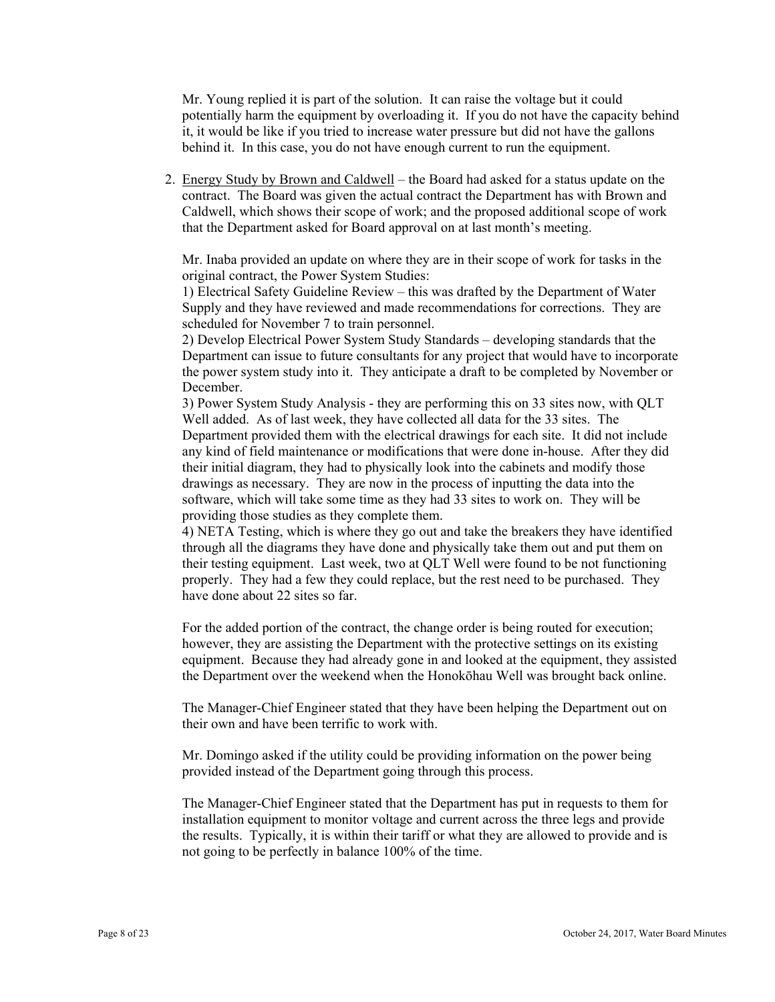Mr. Young replied it is part of the solution. It can raise the voltage but it could potentially harm the equipment by overloading it. If you do not have the capacity behind it, it would be like if you tried to increase water pressure but did not have the gallons behind it. In this case, you do not have enough current to run the equipment.

2. Energy Study by Brown and Caldwell – the Board had asked for a status update on the contract. The Board was given the actual contract the Department has with Brown and Caldwell, which shows their scope of work; and the proposed additional scope of work that the Department asked for Board approval on at last month's meeting.

Mr. Inaba provided an update on where they are in their scope of work for tasks in the original contract, the Power System Studies:

1) Electrical Safety Guideline Review – this was drafted by the Department of Water Supply and they have reviewed and made recommendations for corrections. They are scheduled for November 7 to train personnel.

2) Develop Electrical Power System Study Standards – developing standards that the Department can issue to future consultants for any project that would have to incorporate the power system study into it. They anticipate a draft to be completed by November or December.

3) Power System Study Analysis - they are performing this on 33 sites now, with QLT Well added. As of last week, they have collected all data for the 33 sites. The Department provided them with the electrical drawings for each site. It did not include any kind of field maintenance or modifications that were done in-house. After they did their initial diagram, they had to physically look into the cabinets and modify those drawings as necessary. They are now in the process of inputting the data into the software, which will take some time as they had 33 sites to work on. They will be providing those studies as they complete them.

4) NETA Testing, which is where they go out and take the breakers they have identified through all the diagrams they have done and physically take them out and put them on their testing equipment. Last week, two at QLT Well were found to be not functioning properly. They had a few they could replace, but the rest need to be purchased. They have done about 22 sites so far.

 equipment. Because they had already gone in and looked at the equipment, they assisted For the added portion of the contract, the change order is being routed for execution; however, they are assisting the Department with the protective settings on its existing the Department over the weekend when the Honokōhau Well was brought back online.

The Manager-Chief Engineer stated that they have been helping the Department out on their own and have been terrific to work with.

Mr. Domingo asked if the utility could be providing information on the power being provided instead of the Department going through this process.

The Manager-Chief Engineer stated that the Department has put in requests to them for installation equipment to monitor voltage and current across the three legs and provide the results. Typically, it is within their tariff or what they are allowed to provide and is not going to be perfectly in balance 100% of the time.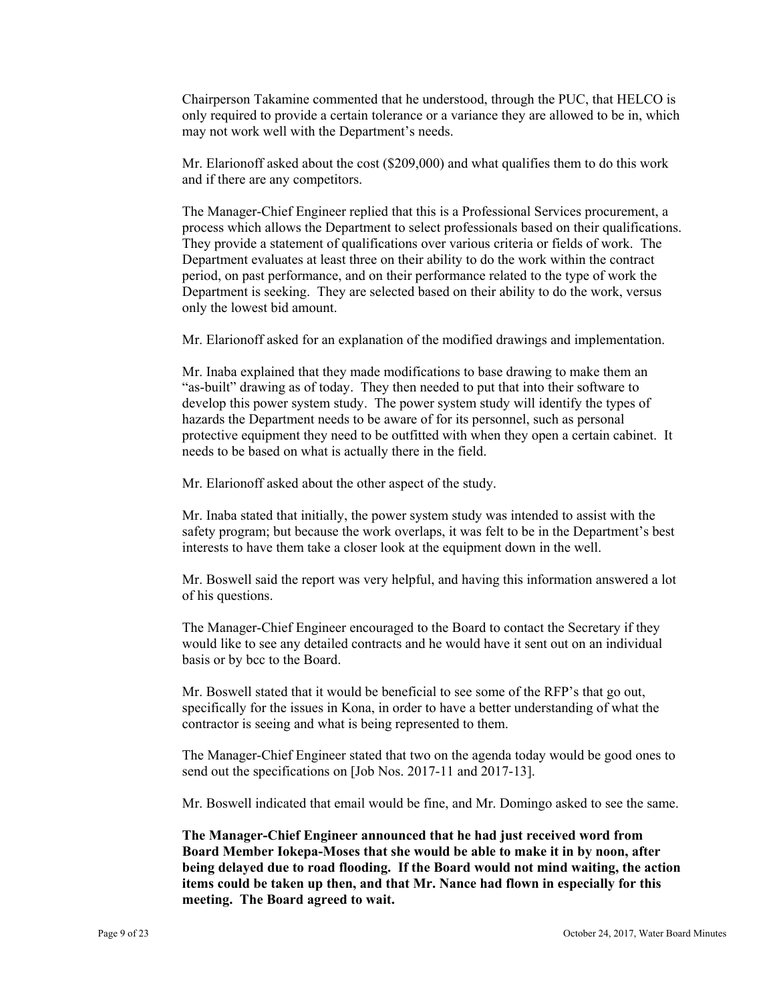Chairperson Takamine commented that he understood, through the PUC, that HELCO is only required to provide a certain tolerance or a variance they are allowed to be in, which may not work well with the Department's needs.

Mr. Elarionoff asked about the cost (\$209,000) and what qualifies them to do this work and if there are any competitors.

The Manager-Chief Engineer replied that this is a Professional Services procurement, a process which allows the Department to select professionals based on their qualifications. They provide a statement of qualifications over various criteria or fields of work. The Department evaluates at least three on their ability to do the work within the contract period, on past performance, and on their performance related to the type of work the Department is seeking. They are selected based on their ability to do the work, versus only the lowest bid amount.

Mr. Elarionoff asked for an explanation of the modified drawings and implementation.

Mr. Inaba explained that they made modifications to base drawing to make them an "as-built" drawing as of today. They then needed to put that into their software to develop this power system study. The power system study will identify the types of hazards the Department needs to be aware of for its personnel, such as personal protective equipment they need to be outfitted with when they open a certain cabinet. It needs to be based on what is actually there in the field.

Mr. Elarionoff asked about the other aspect of the study.

Mr. Inaba stated that initially, the power system study was intended to assist with the safety program; but because the work overlaps, it was felt to be in the Department's best interests to have them take a closer look at the equipment down in the well.

Mr. Boswell said the report was very helpful, and having this information answered a lot of his questions.

The Manager-Chief Engineer encouraged to the Board to contact the Secretary if they would like to see any detailed contracts and he would have it sent out on an individual basis or by bcc to the Board.

Mr. Boswell stated that it would be beneficial to see some of the RFP's that go out, specifically for the issues in Kona, in order to have a better understanding of what the contractor is seeing and what is being represented to them.

The Manager-Chief Engineer stated that two on the agenda today would be good ones to send out the specifications on [Job Nos. 2017-11 and 2017-13].

Mr. Boswell indicated that email would be fine, and Mr. Domingo asked to see the same.

**The Manager-Chief Engineer announced that he had just received word from Board Member Iokepa-Moses that she would be able to make it in by noon, after being delayed due to road flooding. If the Board would not mind waiting, the action items could be taken up then, and that Mr. Nance had flown in especially for this meeting. The Board agreed to wait.**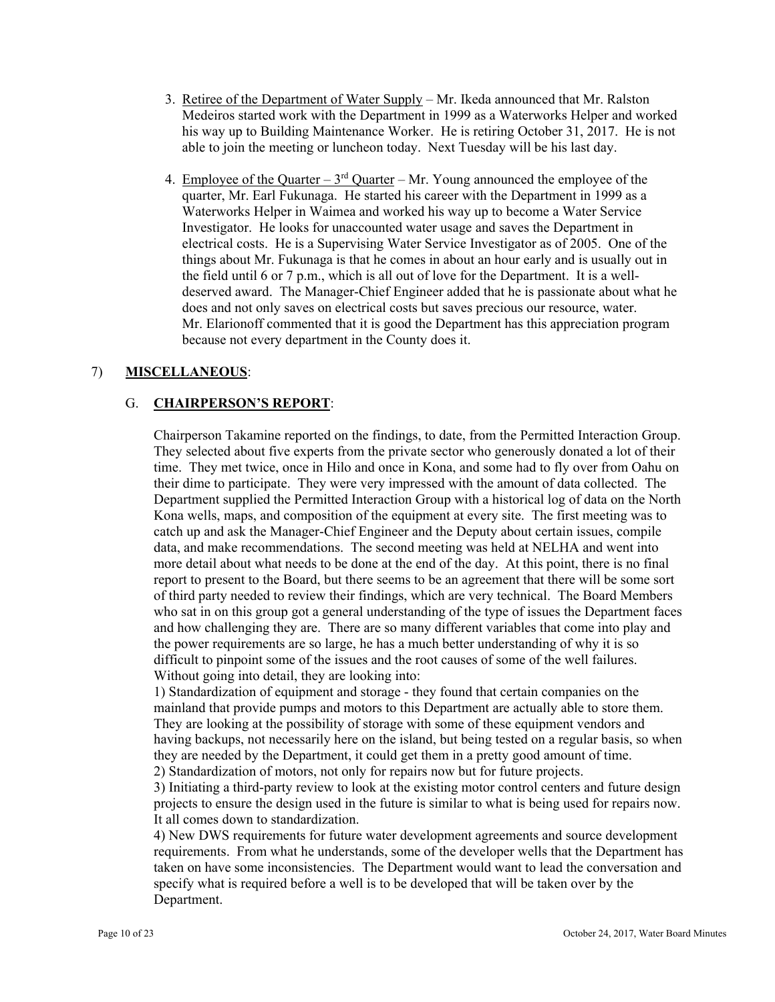- 3. Retiree of the Department of Water Supply Mr. Ikeda announced that Mr. Ralston Medeiros started work with the Department in 1999 as a Waterworks Helper and worked his way up to Building Maintenance Worker. He is retiring October 31, 2017. He is not able to join the meeting or luncheon today. Next Tuesday will be his last day.
- 4. Employee of the Quarter  $3<sup>rd</sup>$  Quarter Mr. Young announced the employee of the quarter, Mr. Earl Fukunaga. He started his career with the Department in 1999 as a Waterworks Helper in Waimea and worked his way up to become a Water Service Investigator. He looks for unaccounted water usage and saves the Department in electrical costs. He is a Supervising Water Service Investigator as of 2005. One of the things about Mr. Fukunaga is that he comes in about an hour early and is usually out in the field until 6 or 7 p.m., which is all out of love for the Department. It is a welldeserved award. The Manager-Chief Engineer added that he is passionate about what he does and not only saves on electrical costs but saves precious our resource, water. Mr. Elarionoff commented that it is good the Department has this appreciation program because not every department in the County does it.

# 7) **MISCELLANEOUS**:

# G. **CHAIRPERSON'S REPORT**:

Chairperson Takamine reported on the findings, to date, from the Permitted Interaction Group. They selected about five experts from the private sector who generously donated a lot of their time. They met twice, once in Hilo and once in Kona, and some had to fly over from Oahu on their dime to participate. They were very impressed with the amount of data collected. The Department supplied the Permitted Interaction Group with a historical log of data on the North Kona wells, maps, and composition of the equipment at every site. The first meeting was to catch up and ask the Manager-Chief Engineer and the Deputy about certain issues, compile data, and make recommendations. The second meeting was held at NELHA and went into more detail about what needs to be done at the end of the day. At this point, there is no final report to present to the Board, but there seems to be an agreement that there will be some sort of third party needed to review their findings, which are very technical. The Board Members who sat in on this group got a general understanding of the type of issues the Department faces and how challenging they are. There are so many different variables that come into play and the power requirements are so large, he has a much better understanding of why it is so difficult to pinpoint some of the issues and the root causes of some of the well failures. Without going into detail, they are looking into:

1) Standardization of equipment and storage - they found that certain companies on the mainland that provide pumps and motors to this Department are actually able to store them. They are looking at the possibility of storage with some of these equipment vendors and having backups, not necessarily here on the island, but being tested on a regular basis, so when they are needed by the Department, it could get them in a pretty good amount of time. 2) Standardization of motors, not only for repairs now but for future projects.

3) Initiating a third-party review to look at the existing motor control centers and future design projects to ensure the design used in the future is similar to what is being used for repairs now. It all comes down to standardization.

4) New DWS requirements for future water development agreements and source development requirements. From what he understands, some of the developer wells that the Department has taken on have some inconsistencies. The Department would want to lead the conversation and specify what is required before a well is to be developed that will be taken over by the Department.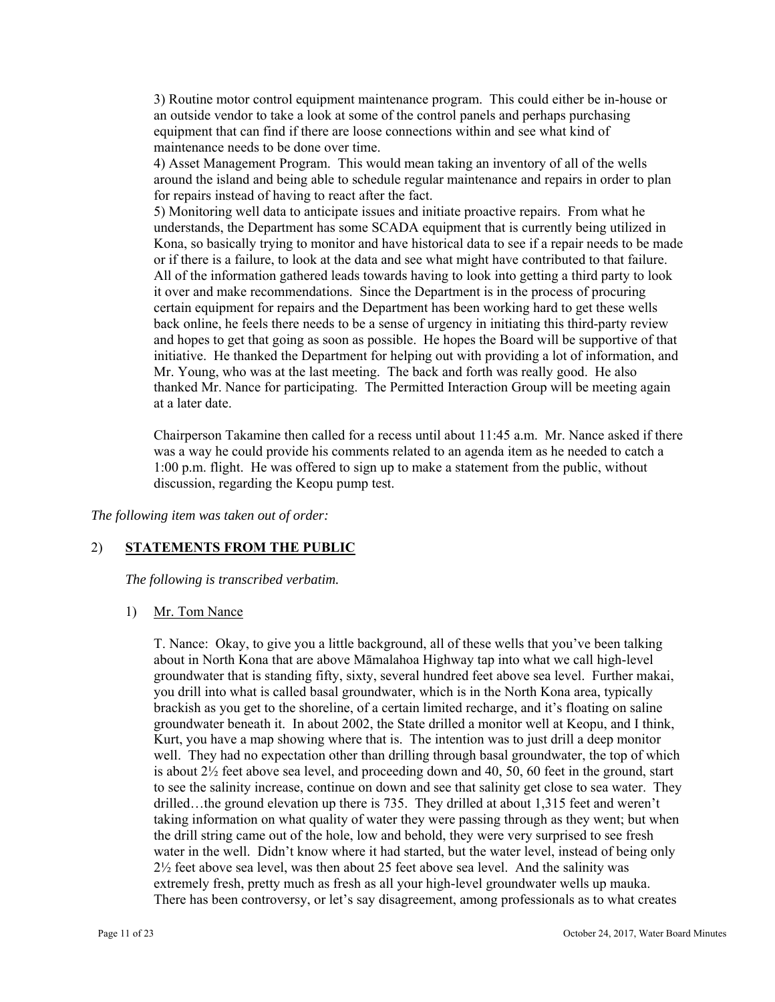3) Routine motor control equipment maintenance program. This could either be in-house or an outside vendor to take a look at some of the control panels and perhaps purchasing equipment that can find if there are loose connections within and see what kind of maintenance needs to be done over time.

4) Asset Management Program. This would mean taking an inventory of all of the wells around the island and being able to schedule regular maintenance and repairs in order to plan for repairs instead of having to react after the fact.

 Mr. Young, who was at the last meeting. The back and forth was really good. He also 5) Monitoring well data to anticipate issues and initiate proactive repairs. From what he understands, the Department has some SCADA equipment that is currently being utilized in Kona, so basically trying to monitor and have historical data to see if a repair needs to be made or if there is a failure, to look at the data and see what might have contributed to that failure. All of the information gathered leads towards having to look into getting a third party to look it over and make recommendations. Since the Department is in the process of procuring certain equipment for repairs and the Department has been working hard to get these wells back online, he feels there needs to be a sense of urgency in initiating this third-party review and hopes to get that going as soon as possible. He hopes the Board will be supportive of that initiative. He thanked the Department for helping out with providing a lot of information, and thanked Mr. Nance for participating. The Permitted Interaction Group will be meeting again at a later date.

Chairperson Takamine then called for a recess until about 11:45 a.m. Mr. Nance asked if there was a way he could provide his comments related to an agenda item as he needed to catch a 1:00 p.m. flight. He was offered to sign up to make a statement from the public, without discussion, regarding the Keopu pump test.

*The following item was taken out of order:* 

## 2) **STATEMENTS FROM THE PUBLIC**

*The following is transcribed verbatim.* 

1) Mr. Tom Nance

T. Nance: Okay, to give you a little background, all of these wells that you've been talking about in North Kona that are above Māmalahoa Highway tap into what we call high-level groundwater that is standing fifty, sixty, several hundred feet above sea level. Further makai, you drill into what is called basal groundwater, which is in the North Kona area, typically brackish as you get to the shoreline, of a certain limited recharge, and it's floating on saline groundwater beneath it. In about 2002, the State drilled a monitor well at Keopu, and I think, Kurt, you have a map showing where that is. The intention was to just drill a deep monitor well. They had no expectation other than drilling through basal groundwater, the top of which is about  $2\frac{1}{2}$  feet above sea level, and proceeding down and 40, 50, 60 feet in the ground, start to see the salinity increase, continue on down and see that salinity get close to sea water. They drilled…the ground elevation up there is 735. They drilled at about 1,315 feet and weren't taking information on what quality of water they were passing through as they went; but when the drill string came out of the hole, low and behold, they were very surprised to see fresh water in the well. Didn't know where it had started, but the water level, instead of being only 2½ feet above sea level, was then about 25 feet above sea level. And the salinity was extremely fresh, pretty much as fresh as all your high-level groundwater wells up mauka. There has been controversy, or let's say disagreement, among professionals as to what creates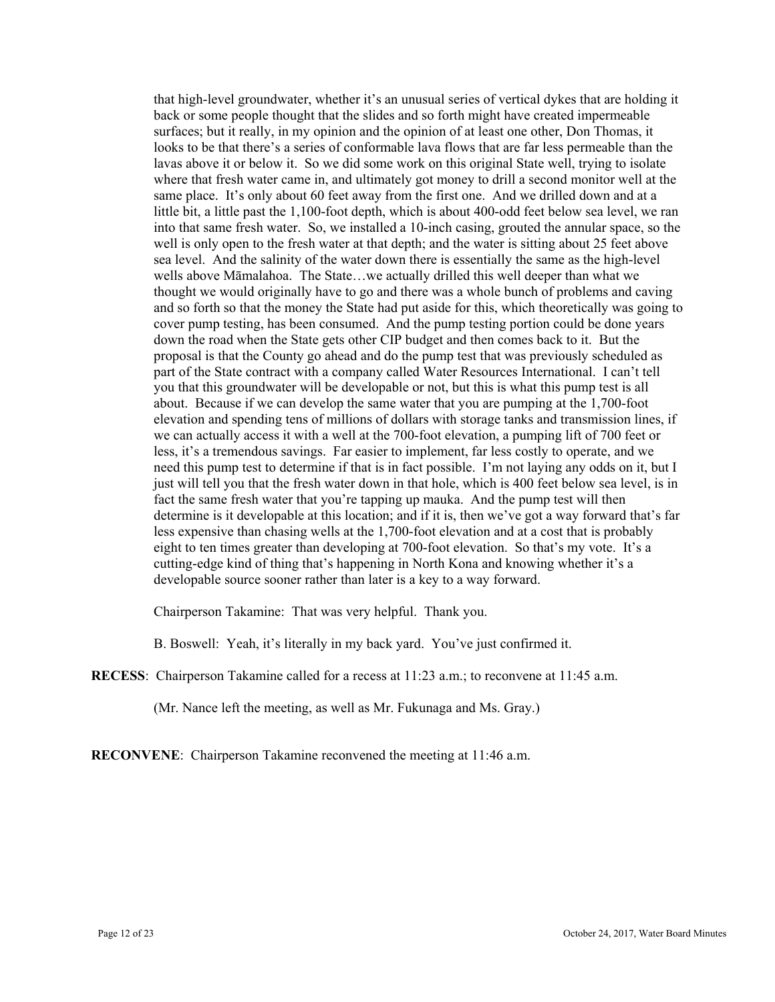that high-level groundwater, whether it's an unusual series of vertical dykes that are holding it back or some people thought that the slides and so forth might have created impermeable surfaces; but it really, in my opinion and the opinion of at least one other, Don Thomas, it looks to be that there's a series of conformable lava flows that are far less permeable than the lavas above it or below it. So we did some work on this original State well, trying to isolate where that fresh water came in, and ultimately got money to drill a second monitor well at the same place. It's only about 60 feet away from the first one. And we drilled down and at a little bit, a little past the 1,100-foot depth, which is about 400-odd feet below sea level, we ran into that same fresh water. So, we installed a 10-inch casing, grouted the annular space, so the well is only open to the fresh water at that depth; and the water is sitting about 25 feet above sea level. And the salinity of the water down there is essentially the same as the high-level wells above Māmalahoa. The State…we actually drilled this well deeper than what we thought we would originally have to go and there was a whole bunch of problems and caving and so forth so that the money the State had put aside for this, which theoretically was going to cover pump testing, has been consumed. And the pump testing portion could be done years down the road when the State gets other CIP budget and then comes back to it. But the proposal is that the County go ahead and do the pump test that was previously scheduled as part of the State contract with a company called Water Resources International. I can't tell you that this groundwater will be developable or not, but this is what this pump test is all about. Because if we can develop the same water that you are pumping at the 1,700-foot elevation and spending tens of millions of dollars with storage tanks and transmission lines, if we can actually access it with a well at the 700-foot elevation, a pumping lift of 700 feet or less, it's a tremendous savings. Far easier to implement, far less costly to operate, and we need this pump test to determine if that is in fact possible. I'm not laying any odds on it, but I just will tell you that the fresh water down in that hole, which is 400 feet below sea level, is in fact the same fresh water that you're tapping up mauka. And the pump test will then determine is it developable at this location; and if it is, then we've got a way forward that's far less expensive than chasing wells at the 1,700-foot elevation and at a cost that is probably eight to ten times greater than developing at 700-foot elevation. So that's my vote. It's a cutting-edge kind of thing that's happening in North Kona and knowing whether it's a developable source sooner rather than later is a key to a way forward.

Chairperson Takamine: That was very helpful. Thank you.

B. Boswell: Yeah, it's literally in my back yard. You've just confirmed it.

**RECESS**: Chairperson Takamine called for a recess at 11:23 a.m.; to reconvene at 11:45 a.m.

(Mr. Nance left the meeting, as well as Mr. Fukunaga and Ms. Gray.)

**RECONVENE**: Chairperson Takamine reconvened the meeting at 11:46 a.m.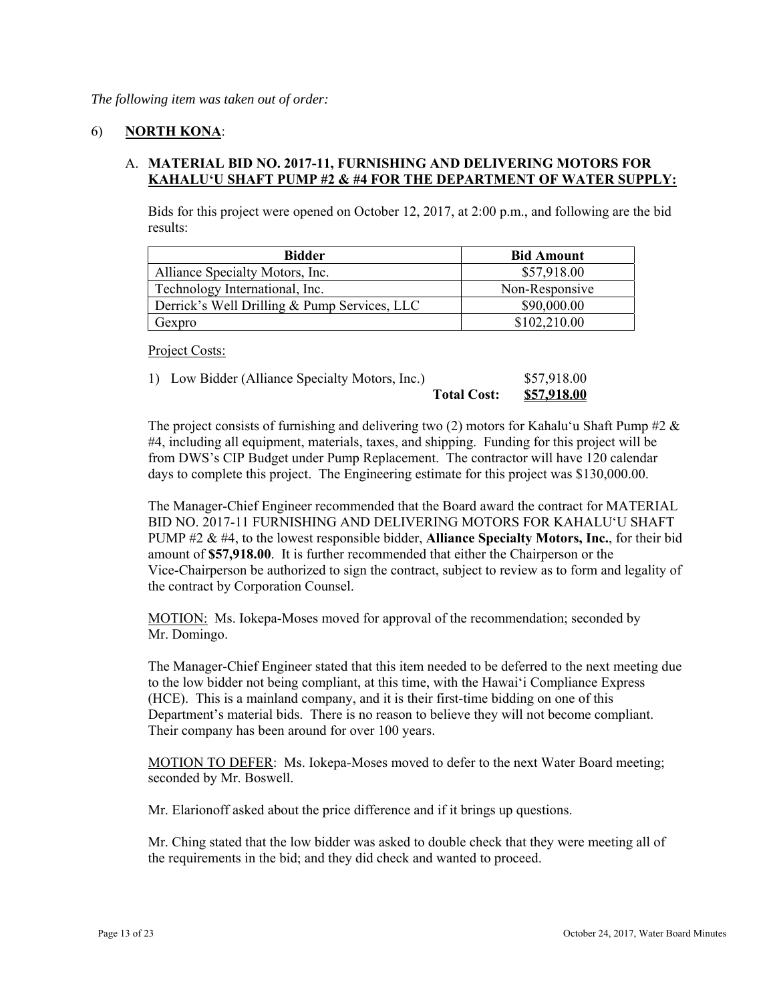## 6) **NORTH KONA**:

## A. **MATERIAL BID NO. 2017-11, FURNISHING AND DELIVERING MOTORS FOR KAHALU'U SHAFT PUMP #2 & #4 FOR THE DEPARTMENT OF WATER SUPPLY:**

Bids for this project were opened on October 12, 2017, at 2:00 p.m., and following are the bid results:

| <b>Bidder</b>                                | <b>Bid Amount</b> |
|----------------------------------------------|-------------------|
| Alliance Specialty Motors, Inc.              | \$57,918.00       |
| Technology International, Inc.               | Non-Responsive    |
| Derrick's Well Drilling & Pump Services, LLC | \$90,000.00       |
| Gexpro                                       | \$102,210.00      |

Project Costs:

1) Low Bidder (Alliance Specialty Motors, Inc.) \$57,918.00

|                    | 337,710.00  |
|--------------------|-------------|
| <b>Total Cost:</b> | \$57,918.00 |

The project consists of furnishing and delivering two (2) motors for Kahalu'u Shaft Pump #2  $\&$ #4, including all equipment, materials, taxes, and shipping. Funding for this project will be from DWS's CIP Budget under Pump Replacement. The contractor will have 120 calendar days to complete this project. The Engineering estimate for this project was \$130,000.00.

The Manager-Chief Engineer recommended that the Board award the contract for MATERIAL BID NO. 2017-11 FURNISHING AND DELIVERING MOTORS FOR KAHALUʻU SHAFT PUMP #2 & #4, to the lowest responsible bidder, **Alliance Specialty Motors, Inc.**, for their bid amount of **\$57,918.00**. It is further recommended that either the Chairperson or the Vice-Chairperson be authorized to sign the contract, subject to review as to form and legality of the contract by Corporation Counsel.

MOTION: Ms. Iokepa-Moses moved for approval of the recommendation; seconded by Mr. Domingo.

The Manager-Chief Engineer stated that this item needed to be deferred to the next meeting due to the low bidder not being compliant, at this time, with the Hawai'i Compliance Express (HCE). This is a mainland company, and it is their first-time bidding on one of this Department's material bids. There is no reason to believe they will not become compliant. Their company has been around for over 100 years.

MOTION TO DEFER: Ms. Iokepa-Moses moved to defer to the next Water Board meeting; seconded by Mr. Boswell.

Mr. Elarionoff asked about the price difference and if it brings up questions.

Mr. Ching stated that the low bidder was asked to double check that they were meeting all of the requirements in the bid; and they did check and wanted to proceed.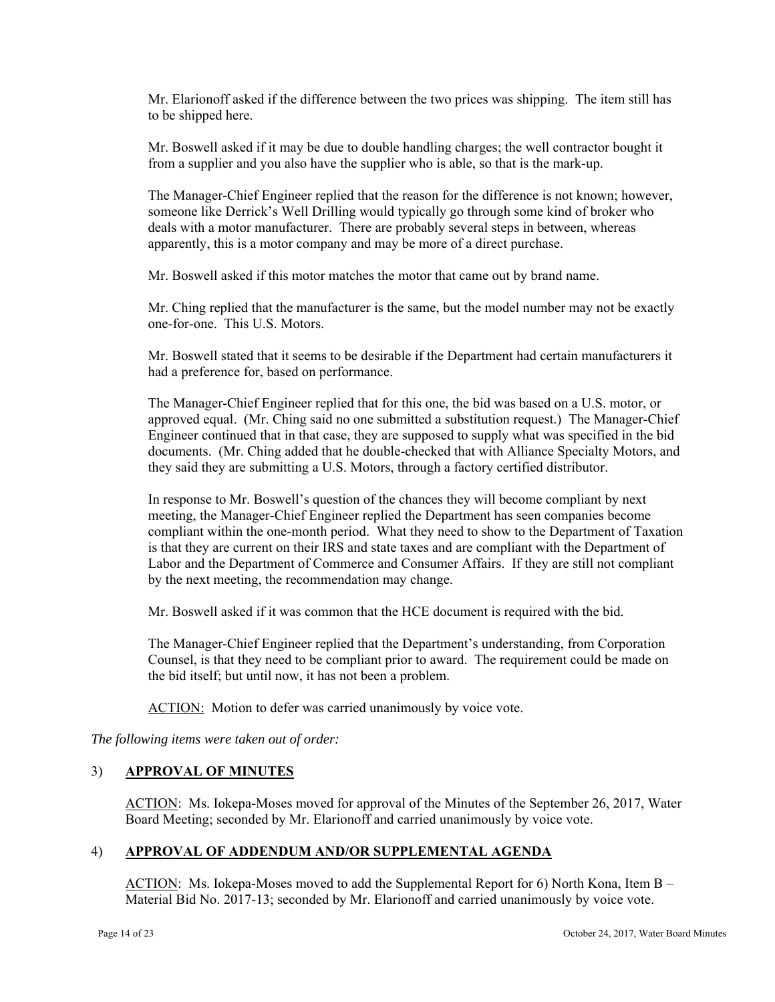Mr. Elarionoff asked if the difference between the two prices was shipping. The item still has to be shipped here.

Mr. Boswell asked if it may be due to double handling charges; the well contractor bought it from a supplier and you also have the supplier who is able, so that is the mark-up.

The Manager-Chief Engineer replied that the reason for the difference is not known; however, someone like Derrick's Well Drilling would typically go through some kind of broker who deals with a motor manufacturer. There are probably several steps in between, whereas apparently, this is a motor company and may be more of a direct purchase.

Mr. Boswell asked if this motor matches the motor that came out by brand name.

Mr. Ching replied that the manufacturer is the same, but the model number may not be exactly one-for-one. This U.S. Motors.

Mr. Boswell stated that it seems to be desirable if the Department had certain manufacturers it had a preference for, based on performance.

The Manager-Chief Engineer replied that for this one, the bid was based on a U.S. motor, or approved equal. (Mr. Ching said no one submitted a substitution request.) The Manager-Chief Engineer continued that in that case, they are supposed to supply what was specified in the bid documents. (Mr. Ching added that he double-checked that with Alliance Specialty Motors, and they said they are submitting a U.S. Motors, through a factory certified distributor.

In response to Mr. Boswell's question of the chances they will become compliant by next meeting, the Manager-Chief Engineer replied the Department has seen companies become compliant within the one-month period. What they need to show to the Department of Taxation is that they are current on their IRS and state taxes and are compliant with the Department of Labor and the Department of Commerce and Consumer Affairs. If they are still not compliant by the next meeting, the recommendation may change.

Mr. Boswell asked if it was common that the HCE document is required with the bid.

the bid itself; but until now, it has not been a problem. The Manager-Chief Engineer replied that the Department's understanding, from Corporation Counsel, is that they need to be compliant prior to award. The requirement could be made on

ACTION: Motion to defer was carried unanimously by voice vote.

*The following items were taken out of order:* 

## 3) **APPROVAL OF MINUTES**

ACTION: Ms. Iokepa-Moses moved for approval of the Minutes of the September 26, 2017, Water Board Meeting; seconded by Mr. Elarionoff and carried unanimously by voice vote.

#### 4) **APPROVAL OF ADDENDUM AND/OR SUPPLEMENTAL AGENDA**

ACTION: Ms. Iokepa-Moses moved to add the Supplemental Report for 6) North Kona, Item B – Material Bid No. 2017-13; seconded by Mr. Elarionoff and carried unanimously by voice vote.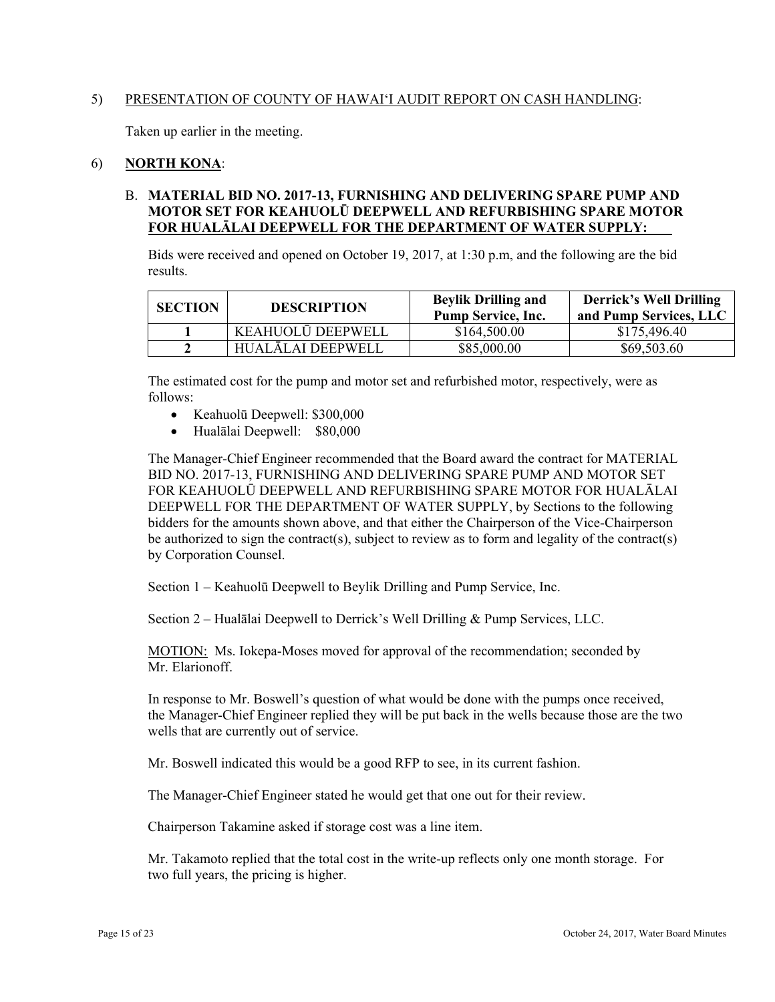## 5) PRESENTATION OF COUNTY OF HAWAI'I AUDIT REPORT ON CASH HANDLING:

Taken up earlier in the meeting.

## 6) **NORTH KONA**:

# **FOR HUALĀLAI DEEPWELL FOR THE DEPARTMENT OF WATER SUPPLY:** B. **MATERIAL BID NO. 2017-13, FURNISHING AND DELIVERING SPARE PUMP AND MOTOR SET FOR KEAHUOLŪ DEEPWELL AND REFURBISHING SPARE MOTOR**

Bids were received and opened on October 19, 2017, at 1:30 p.m, and the following are the bid results.

| <b>SECTION</b> | <b>DESCRIPTION</b> | <b>Beylik Drilling and</b><br><b>Pump Service, Inc.</b> | <b>Derrick's Well Drilling</b><br>and Pump Services, LLC |
|----------------|--------------------|---------------------------------------------------------|----------------------------------------------------------|
|                | KEAHUOLŪ DEEPWELL  | \$164,500.00                                            | \$175,496.40                                             |
|                | HUALĀLAI DEEPWELL  | \$85,000.00                                             | \$69,503.60                                              |

The estimated cost for the pump and motor set and refurbished motor, respectively, were as follows:

- Keahuolū Deepwell: \$300,000
- Hualālai Deepwell: \$80,000

The Manager-Chief Engineer recommended that the Board award the contract for MATERIAL BID NO. 2017-13, FURNISHING AND DELIVERING SPARE PUMP AND MOTOR SET FOR KEAHUOLŪ DEEPWELL AND REFURBISHING SPARE MOTOR FOR HUALĀLAI DEEPWELL FOR THE DEPARTMENT OF WATER SUPPLY, by Sections to the following bidders for the amounts shown above, and that either the Chairperson of the Vice-Chairperson be authorized to sign the contract(s), subject to review as to form and legality of the contract(s) by Corporation Counsel.

Section 1 – Keahuolū Deepwell to Beylik Drilling and Pump Service, Inc.

Section 2 – Hualālai Deepwell to Derrick's Well Drilling & Pump Services, LLC.

MOTION: Ms. Iokepa-Moses moved for approval of the recommendation; seconded by Mr. Elarionoff.

In response to Mr. Boswell's question of what would be done with the pumps once received, the Manager-Chief Engineer replied they will be put back in the wells because those are the two wells that are currently out of service.

Mr. Boswell indicated this would be a good RFP to see, in its current fashion.

The Manager-Chief Engineer stated he would get that one out for their review.

Chairperson Takamine asked if storage cost was a line item.

Mr. Takamoto replied that the total cost in the write-up reflects only one month storage. For two full years, the pricing is higher.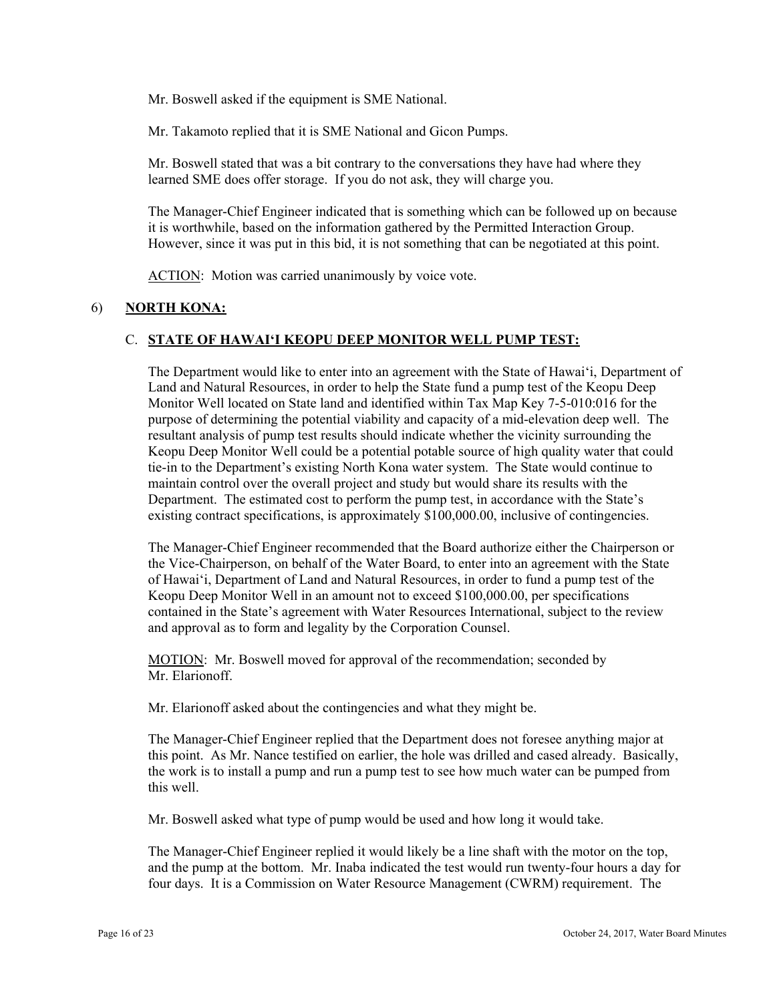Mr. Boswell asked if the equipment is SME National.

Mr. Takamoto replied that it is SME National and Gicon Pumps.

Mr. Boswell stated that was a bit contrary to the conversations they have had where they learned SME does offer storage. If you do not ask, they will charge you.

The Manager-Chief Engineer indicated that is something which can be followed up on because it is worthwhile, based on the information gathered by the Permitted Interaction Group. However, since it was put in this bid, it is not something that can be negotiated at this point.

ACTION: Motion was carried unanimously by voice vote.

## 6) **NORTH KONA:**

## C. **STATE OF HAWAI'I KEOPU DEEP MONITOR WELL PUMP TEST:**

The Department would like to enter into an agreement with the State of Hawai'i, Department of Land and Natural Resources, in order to help the State fund a pump test of the Keopu Deep Monitor Well located on State land and identified within Tax Map Key 7-5-010:016 for the purpose of determining the potential viability and capacity of a mid-elevation deep well. The resultant analysis of pump test results should indicate whether the vicinity surrounding the Keopu Deep Monitor Well could be a potential potable source of high quality water that could tie-in to the Department's existing North Kona water system. The State would continue to maintain control over the overall project and study but would share its results with the Department. The estimated cost to perform the pump test, in accordance with the State's existing contract specifications, is approximately \$100,000.00, inclusive of contingencies.

The Manager-Chief Engineer recommended that the Board authorize either the Chairperson or the Vice-Chairperson, on behalf of the Water Board, to enter into an agreement with the State of Hawai'i, Department of Land and Natural Resources, in order to fund a pump test of the Keopu Deep Monitor Well in an amount not to exceed \$100,000.00, per specifications contained in the State's agreement with Water Resources International, subject to the review and approval as to form and legality by the Corporation Counsel.

MOTION: Mr. Boswell moved for approval of the recommendation; seconded by Mr. Elarionoff.

Mr. Elarionoff asked about the contingencies and what they might be.

The Manager-Chief Engineer replied that the Department does not foresee anything major at this point. As Mr. Nance testified on earlier, the hole was drilled and cased already. Basically, the work is to install a pump and run a pump test to see how much water can be pumped from this well.

Mr. Boswell asked what type of pump would be used and how long it would take.

The Manager-Chief Engineer replied it would likely be a line shaft with the motor on the top, and the pump at the bottom. Mr. Inaba indicated the test would run twenty-four hours a day for four days. It is a Commission on Water Resource Management (CWRM) requirement. The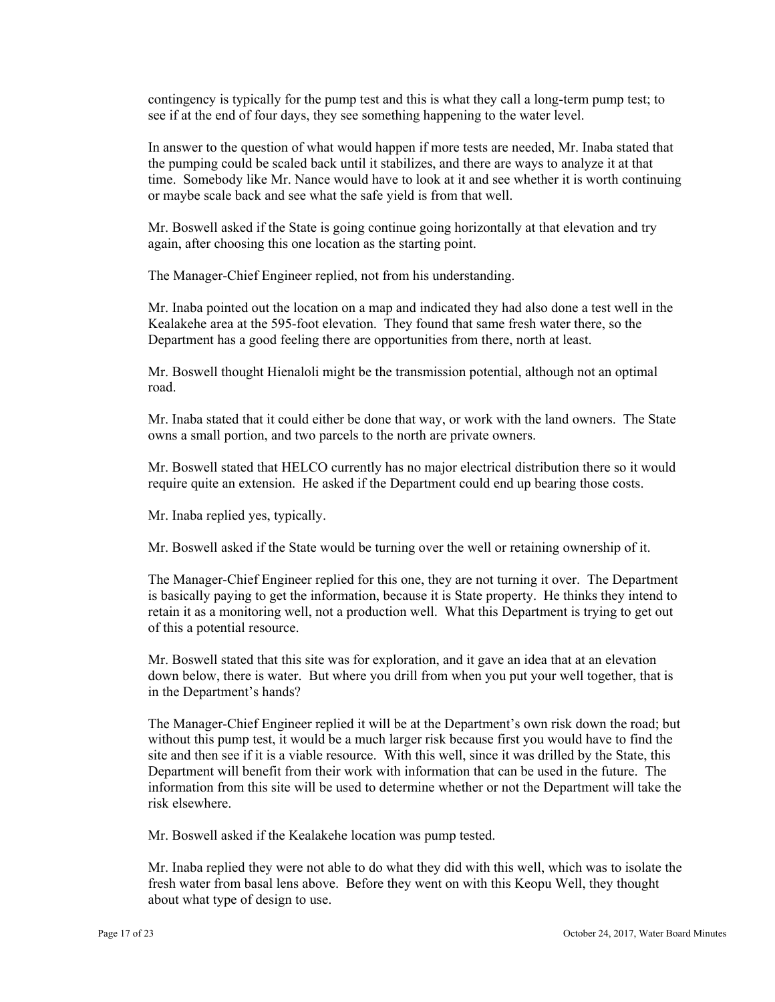contingency is typically for the pump test and this is what they call a long-term pump test; to see if at the end of four days, they see something happening to the water level.

In answer to the question of what would happen if more tests are needed, Mr. Inaba stated that the pumping could be scaled back until it stabilizes, and there are ways to analyze it at that time. Somebody like Mr. Nance would have to look at it and see whether it is worth continuing or maybe scale back and see what the safe yield is from that well.

Mr. Boswell asked if the State is going continue going horizontally at that elevation and try again, after choosing this one location as the starting point.

The Manager-Chief Engineer replied, not from his understanding.

Mr. Inaba pointed out the location on a map and indicated they had also done a test well in the Kealakehe area at the 595-foot elevation. They found that same fresh water there, so the Department has a good feeling there are opportunities from there, north at least.

Mr. Boswell thought Hienaloli might be the transmission potential, although not an optimal road.

Mr. Inaba stated that it could either be done that way, or work with the land owners. The State owns a small portion, and two parcels to the north are private owners.

Mr. Boswell stated that HELCO currently has no major electrical distribution there so it would require quite an extension. He asked if the Department could end up bearing those costs.

Mr. Inaba replied yes, typically.

Mr. Boswell asked if the State would be turning over the well or retaining ownership of it.

The Manager-Chief Engineer replied for this one, they are not turning it over. The Department is basically paying to get the information, because it is State property. He thinks they intend to retain it as a monitoring well, not a production well. What this Department is trying to get out of this a potential resource.

Mr. Boswell stated that this site was for exploration, and it gave an idea that at an elevation down below, there is water. But where you drill from when you put your well together, that is in the Department's hands?

The Manager-Chief Engineer replied it will be at the Department's own risk down the road; but without this pump test, it would be a much larger risk because first you would have to find the site and then see if it is a viable resource. With this well, since it was drilled by the State, this Department will benefit from their work with information that can be used in the future. The information from this site will be used to determine whether or not the Department will take the risk elsewhere.

Mr. Boswell asked if the Kealakehe location was pump tested.

Mr. Inaba replied they were not able to do what they did with this well, which was to isolate the fresh water from basal lens above. Before they went on with this Keopu Well, they thought about what type of design to use.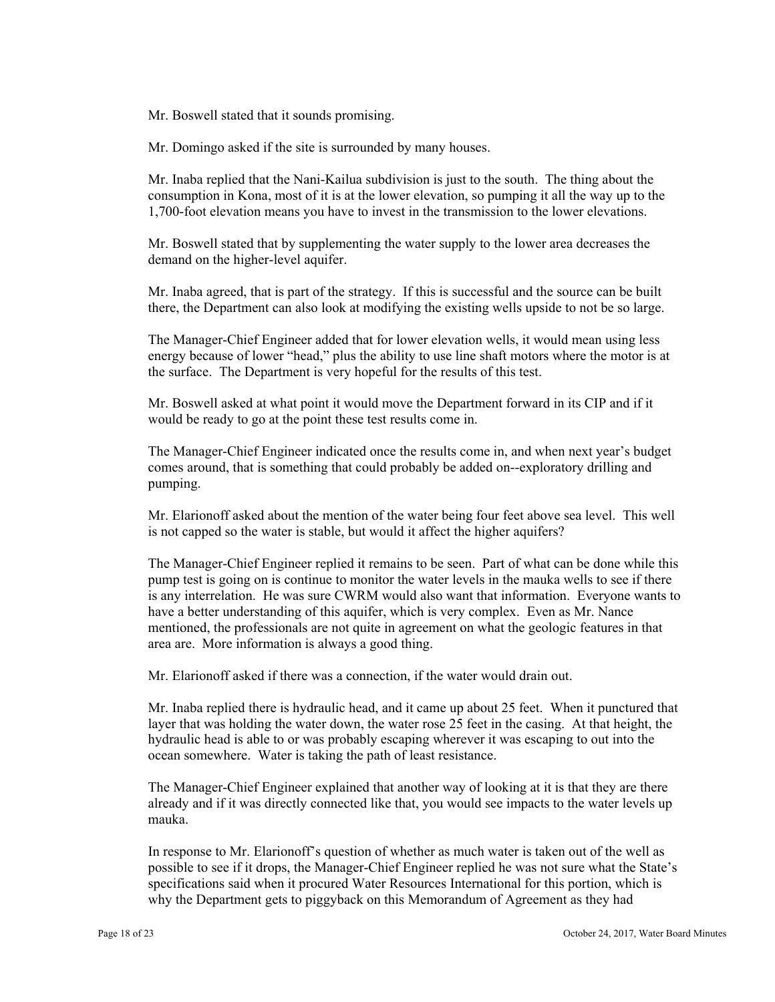Mr. Boswell stated that it sounds promising.

Mr. Domingo asked if the site is surrounded by many houses.

Mr. Inaba replied that the Nani-Kailua subdivision is just to the south. The thing about the consumption in Kona, most of it is at the lower elevation, so pumping it all the way up to the 1,700-foot elevation means you have to invest in the transmission to the lower elevations.

Mr. Boswell stated that by supplementing the water supply to the lower area decreases the demand on the higher-level aquifer.

Mr. Inaba agreed, that is part of the strategy. If this is successful and the source can be built there, the Department can also look at modifying the existing wells upside to not be so large.

The Manager-Chief Engineer added that for lower elevation wells, it would mean using less energy because of lower "head," plus the ability to use line shaft motors where the motor is at the surface. The Department is very hopeful for the results of this test.

Mr. Boswell asked at what point it would move the Department forward in its CIP and if it would be ready to go at the point these test results come in.

The Manager-Chief Engineer indicated once the results come in, and when next year's budget comes around, that is something that could probably be added on--exploratory drilling and pumping.

Mr. Elarionoff asked about the mention of the water being four feet above sea level. This well is not capped so the water is stable, but would it affect the higher aquifers?

The Manager-Chief Engineer replied it remains to be seen. Part of what can be done while this pump test is going on is continue to monitor the water levels in the mauka wells to see if there is any interrelation. He was sure CWRM would also want that information. Everyone wants to have a better understanding of this aquifer, which is very complex. Even as Mr. Nance mentioned, the professionals are not quite in agreement on what the geologic features in that area are. More information is always a good thing.

Mr. Elarionoff asked if there was a connection, if the water would drain out.

Mr. Inaba replied there is hydraulic head, and it came up about 25 feet. When it punctured that layer that was holding the water down, the water rose 25 feet in the casing. At that height, the hydraulic head is able to or was probably escaping wherever it was escaping to out into the ocean somewhere. Water is taking the path of least resistance.

The Manager-Chief Engineer explained that another way of looking at it is that they are there already and if it was directly connected like that, you would see impacts to the water levels up mauka.

In response to Mr. Elarionoff's question of whether as much water is taken out of the well as possible to see if it drops, the Manager-Chief Engineer replied he was not sure what the State's specifications said when it procured Water Resources International for this portion, which is why the Department gets to piggyback on this Memorandum of Agreement as they had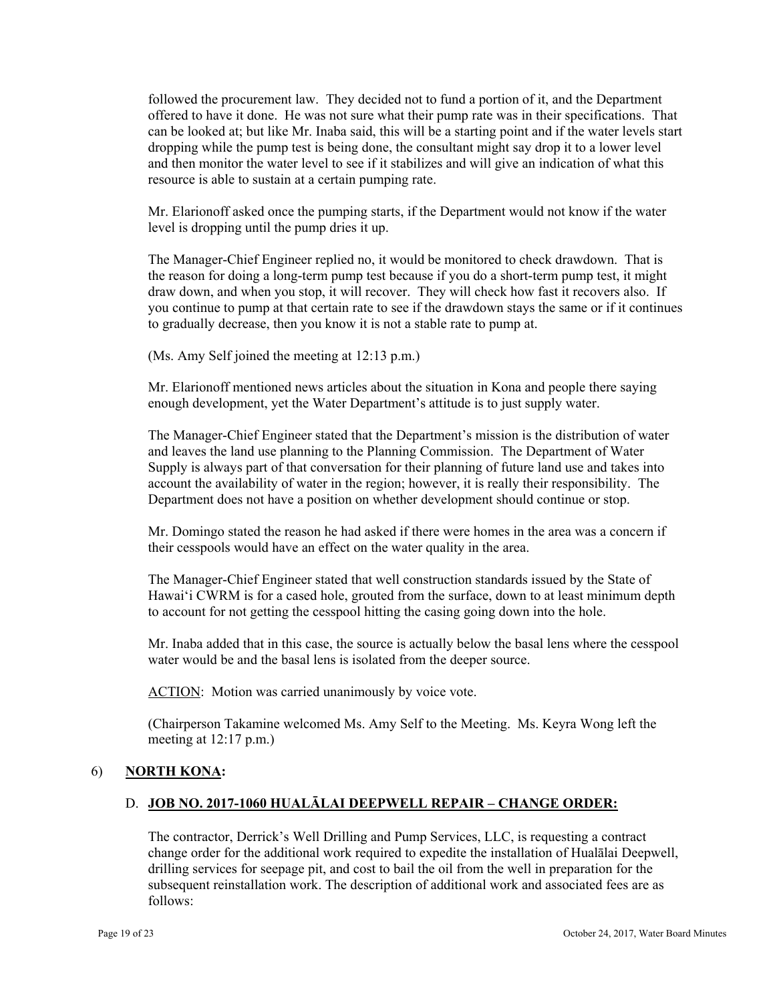followed the procurement law. They decided not to fund a portion of it, and the Department offered to have it done. He was not sure what their pump rate was in their specifications. That can be looked at; but like Mr. Inaba said, this will be a starting point and if the water levels start dropping while the pump test is being done, the consultant might say drop it to a lower level and then monitor the water level to see if it stabilizes and will give an indication of what this resource is able to sustain at a certain pumping rate.

Mr. Elarionoff asked once the pumping starts, if the Department would not know if the water level is dropping until the pump dries it up.

The Manager-Chief Engineer replied no, it would be monitored to check drawdown. That is the reason for doing a long-term pump test because if you do a short-term pump test, it might draw down, and when you stop, it will recover. They will check how fast it recovers also. If you continue to pump at that certain rate to see if the drawdown stays the same or if it continues to gradually decrease, then you know it is not a stable rate to pump at.

(Ms. Amy Self joined the meeting at 12:13 p.m.)

Mr. Elarionoff mentioned news articles about the situation in Kona and people there saying enough development, yet the Water Department's attitude is to just supply water.

The Manager-Chief Engineer stated that the Department's mission is the distribution of water and leaves the land use planning to the Planning Commission. The Department of Water Supply is always part of that conversation for their planning of future land use and takes into account the availability of water in the region; however, it is really their responsibility. The Department does not have a position on whether development should continue or stop.

Mr. Domingo stated the reason he had asked if there were homes in the area was a concern if their cesspools would have an effect on the water quality in the area.

The Manager-Chief Engineer stated that well construction standards issued by the State of Hawai'i CWRM is for a cased hole, grouted from the surface, down to at least minimum depth to account for not getting the cesspool hitting the casing going down into the hole.

Mr. Inaba added that in this case, the source is actually below the basal lens where the cesspool water would be and the basal lens is isolated from the deeper source.

ACTION: Motion was carried unanimously by voice vote.

(Chairperson Takamine welcomed Ms. Amy Self to the Meeting. Ms. Keyra Wong left the meeting at 12:17 p.m.)

## 6) **NORTH KONA:**

# D. **JOB NO. 2017-1060 HUALĀLAI DEEPWELL REPAIR – CHANGE ORDER:**

The contractor, Derrick's Well Drilling and Pump Services, LLC, is requesting a contract change order for the additional work required to expedite the installation of Hualālai Deepwell, drilling services for seepage pit, and cost to bail the oil from the well in preparation for the subsequent reinstallation work. The description of additional work and associated fees are as follows: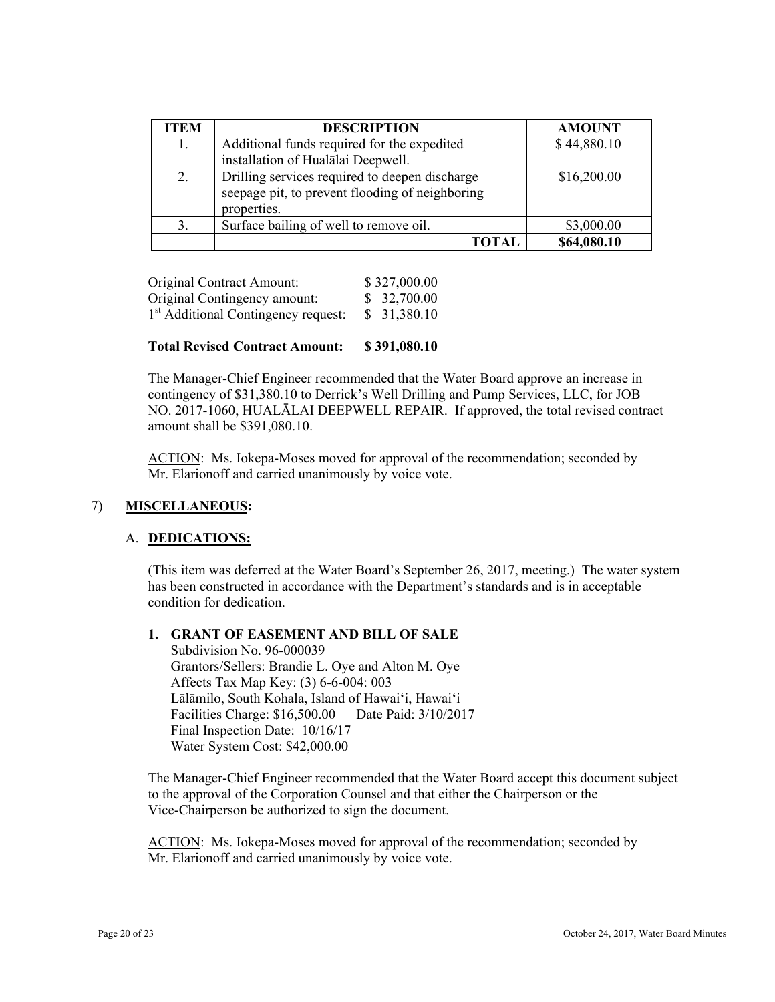| <b>ITEM</b> | <b>DESCRIPTION</b>                                                                                               | <b>AMOUNT</b> |
|-------------|------------------------------------------------------------------------------------------------------------------|---------------|
| 1.          | Additional funds required for the expedited                                                                      | \$44,880.10   |
|             | installation of Hualalai Deepwell.                                                                               |               |
| 2.          | Drilling services required to deepen discharge<br>seepage pit, to prevent flooding of neighboring<br>properties. | \$16,200.00   |
| 3.          | Surface bailing of well to remove oil.                                                                           | \$3,000.00    |
|             | ГОТАІ                                                                                                            | \$64,080.10   |

| Original Contract Amount:                       | \$327,000.00 |
|-------------------------------------------------|--------------|
| Original Contingency amount:                    | \$32,700.00  |
| 1 <sup>st</sup> Additional Contingency request: | \$31,380.10  |

### **Total Revised Contract Amount: \$ 391,080.10**

The Manager-Chief Engineer recommended that the Water Board approve an increase in contingency of \$31,380.10 to Derrick's Well Drilling and Pump Services, LLC, for JOB NO. 2017-1060, HUALĀLAI DEEPWELL REPAIR. If approved, the total revised contract amount shall be \$391,080.10.

ACTION: Ms. Iokepa-Moses moved for approval of the recommendation; seconded by Mr. Elarionoff and carried unanimously by voice vote.

## 7) **MISCELLANEOUS:**

## A. **DEDICATIONS:**

(This item was deferred at the Water Board's September 26, 2017, meeting.) The water system has been constructed in accordance with the Department's standards and is in acceptable condition for dedication.

# **1. GRANT OF EASEMENT AND BILL OF SALE**

 Affects Tax Map Key: (3) 6-6-004: 003 Subdivision No. 96-000039 Grantors/Sellers: Brandie L. Oye and Alton M. Oye Lālāmilo, South Kohala, Island of Hawai'i, Hawai'i Facilities Charge: \$16,500.00 Date Paid: 3/10/2017 Final Inspection Date: 10/16/17 Water System Cost: \$42,000.00

The Manager-Chief Engineer recommended that the Water Board accept this document subject to the approval of the Corporation Counsel and that either the Chairperson or the Vice-Chairperson be authorized to sign the document.

ACTION: Ms. Iokepa-Moses moved for approval of the recommendation; seconded by Mr. Elarionoff and carried unanimously by voice vote.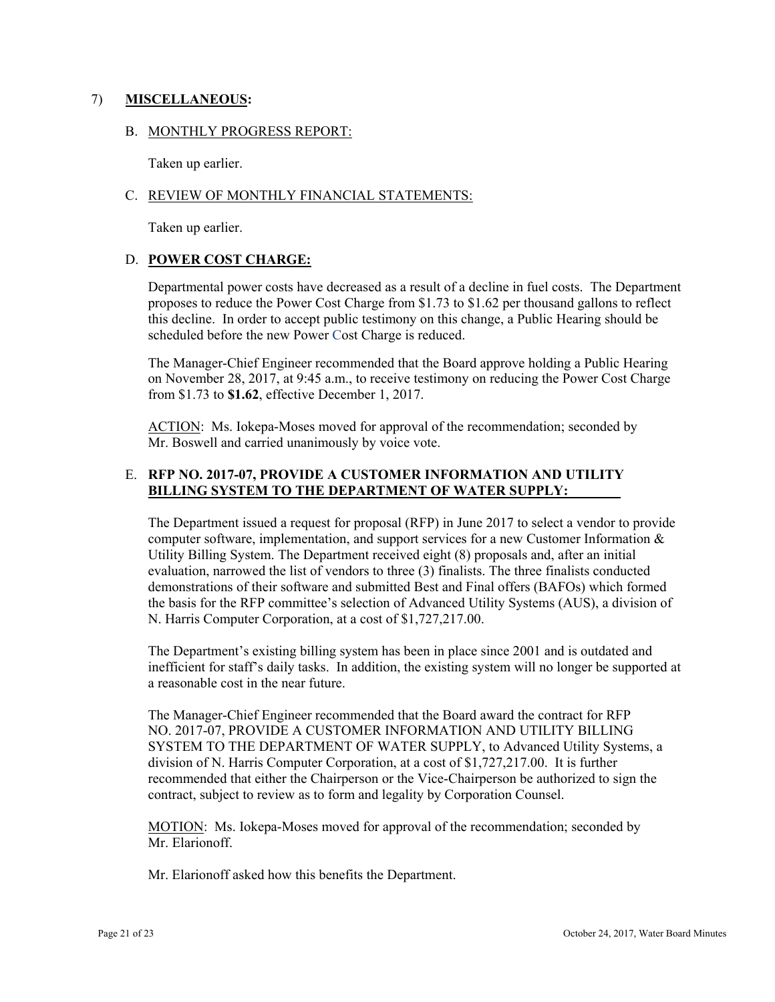## 7) **MISCELLANEOUS:**

## B. MONTHLY PROGRESS REPORT:

Taken up earlier.

## C. REVIEW OF MONTHLY FINANCIAL STATEMENTS:

Taken up earlier.

## D. **POWER COST CHARGE:**

Departmental power costs have decreased as a result of a decline in fuel costs. The Department proposes to reduce the Power Cost Charge from \$1.73 to \$1.62 per thousand gallons to reflect this decline. In order to accept public testimony on this change, a Public Hearing should be scheduled before the new Power Cost Charge is reduced.

The Manager-Chief Engineer recommended that the Board approve holding a Public Hearing on November 28, 2017, at 9:45 a.m., to receive testimony on reducing the Power Cost Charge from \$1.73 to **\$1.62**, effective December 1, 2017.

ACTION: Ms. Iokepa-Moses moved for approval of the recommendation; seconded by Mr. Boswell and carried unanimously by voice vote.

# **BILLING SYSTEM TO THE DEPARTMENT OF WATER SUPPLY:** E. **RFP NO. 2017-07, PROVIDE A CUSTOMER INFORMATION AND UTILITY**

The Department issued a request for proposal (RFP) in June 2017 to select a vendor to provide computer software, implementation, and support services for a new Customer Information  $\&$ Utility Billing System. The Department received eight (8) proposals and, after an initial evaluation, narrowed the list of vendors to three (3) finalists. The three finalists conducted demonstrations of their software and submitted Best and Final offers (BAFOs) which formed the basis for the RFP committee's selection of Advanced Utility Systems (AUS), a division of N. Harris Computer Corporation, at a cost of \$1,727,217.00.

The Department's existing billing system has been in place since 2001 and is outdated and inefficient for staff's daily tasks. In addition, the existing system will no longer be supported at a reasonable cost in the near future.

The Manager-Chief Engineer recommended that the Board award the contract for RFP NO. 2017-07, PROVIDE A CUSTOMER INFORMATION AND UTILITY BILLING SYSTEM TO THE DEPARTMENT OF WATER SUPPLY, to Advanced Utility Systems, a division of N. Harris Computer Corporation, at a cost of \$1,727,217.00. It is further recommended that either the Chairperson or the Vice-Chairperson be authorized to sign the contract, subject to review as to form and legality by Corporation Counsel.

MOTION: Ms. Iokepa-Moses moved for approval of the recommendation; seconded by Mr. Elarionoff.

Mr. Elarionoff asked how this benefits the Department.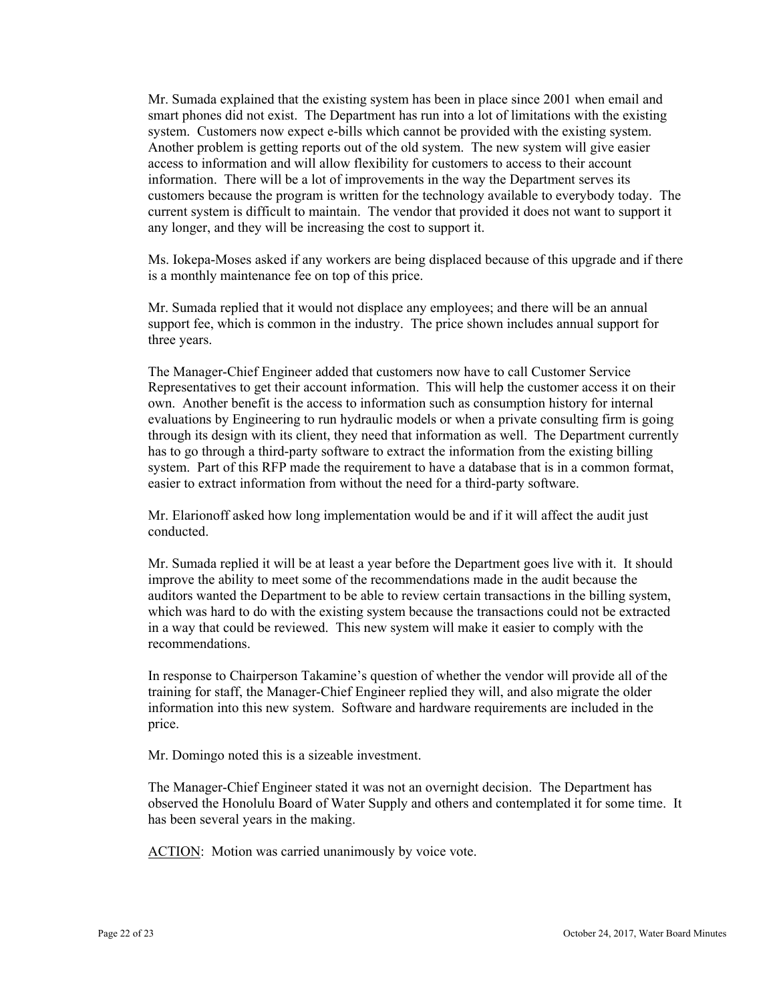Mr. Sumada explained that the existing system has been in place since 2001 when email and smart phones did not exist. The Department has run into a lot of limitations with the existing system. Customers now expect e-bills which cannot be provided with the existing system. Another problem is getting reports out of the old system. The new system will give easier access to information and will allow flexibility for customers to access to their account information. There will be a lot of improvements in the way the Department serves its customers because the program is written for the technology available to everybody today. The current system is difficult to maintain. The vendor that provided it does not want to support it any longer, and they will be increasing the cost to support it.

Ms. Iokepa-Moses asked if any workers are being displaced because of this upgrade and if there is a monthly maintenance fee on top of this price.

Mr. Sumada replied that it would not displace any employees; and there will be an annual support fee, which is common in the industry. The price shown includes annual support for three years.

The Manager-Chief Engineer added that customers now have to call Customer Service Representatives to get their account information. This will help the customer access it on their own. Another benefit is the access to information such as consumption history for internal evaluations by Engineering to run hydraulic models or when a private consulting firm is going through its design with its client, they need that information as well. The Department currently has to go through a third-party software to extract the information from the existing billing system. Part of this RFP made the requirement to have a database that is in a common format, easier to extract information from without the need for a third-party software.

Mr. Elarionoff asked how long implementation would be and if it will affect the audit just conducted.

Mr. Sumada replied it will be at least a year before the Department goes live with it. It should improve the ability to meet some of the recommendations made in the audit because the auditors wanted the Department to be able to review certain transactions in the billing system, which was hard to do with the existing system because the transactions could not be extracted in a way that could be reviewed. This new system will make it easier to comply with the recommendations.

In response to Chairperson Takamine's question of whether the vendor will provide all of the training for staff, the Manager-Chief Engineer replied they will, and also migrate the older information into this new system. Software and hardware requirements are included in the price.

Mr. Domingo noted this is a sizeable investment.

The Manager-Chief Engineer stated it was not an overnight decision. The Department has observed the Honolulu Board of Water Supply and others and contemplated it for some time. It has been several years in the making.

ACTION: Motion was carried unanimously by voice vote.